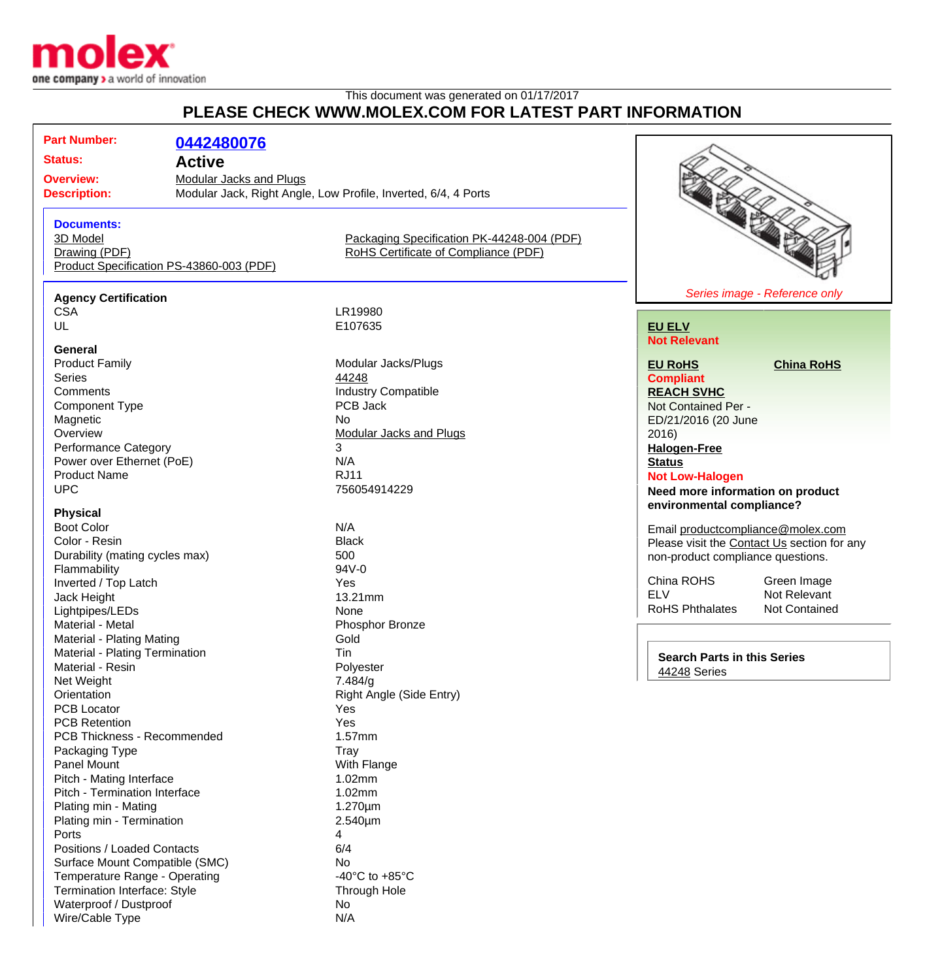

# This document was generated on 01/17/2017 **PLEASE CHECK WWW.MOLEX.COM FOR LATEST PART INFORMATION**

# **Part Number: [0442480076](http://www.molex.com/molex/products/datasheet.jsp?part=active/0442480076_MODULAR_JACKS_PLUG.xml&channel=Products&Lang=en-US) Status: Active Overview:** [Modular Jacks and Plugs](http://www.molex.com/molex/products/group?channel=products&key=modular_plugs_jacks) **Description:** Modular Jack, Right Angle, Low Profile, Inverted, 6/4, 4 Ports **Documents:** [3D Model](http://www.molex.com/molex/part/partModels.jsp?&prodLevel=part&series=&partNo=442480076&channel=Products) [Packaging Specification PK-44248-004 \(PDF\)](http://www.molex.com/pdm_docs/pk/PK-44248-004.pdf) [Drawing \(PDF\)](http://www.molex.com/pdm_docs/sd/442480076_sd.pdf) **Example 2 RoHS** Certificate of Compliance (PDF) [Product Specification PS-43860-003 \(PDF\)](http://www.molex.com/pdm_docs/ps/PS-43860-003.pdf)

#### **Agency Certification**

**General**<br>**Product Family** Product Family **Modular Jacks/Plugs**<br>
Series 44248 Series **According to According the Series [44248](http://www.molex.com/molex/products/listview.jsp?query=44248&sType=s)** Comments<br>
Component Type<br>
Component Type<br>
COMPOS Jack<br>
PCB Jack Component Type Magnetic No.<br>
Overview Mo Performance Category 3 Power over Ethernet (PoE) N/A Product Name RJ11 UPC 756054914229

#### **Physical**

Boot Color N/A Color - Resin Black Durability (mating cycles max) 500 Flammability 94V-0 Inverted / Top Latch Yes Jack Height **13.21mm** Lightpipes/LEDs None Material - Metal **Material - Metal** Phosphor Bronze Material - Plating Mating **Gold** Material - Plating Termination Tin Material - Resin **Polyester** Net Weight 7.484/g<br>
Orientation Right Architects PCB Locator **Yes** PCB Retention Yes PCB Thickness - Recommended 1.57mm Packaging Type Tray Panel Mount **Panel Mount** Panel Mount Pitch - Mating Interface 1.02mm Pitch - Termination Interface 1.02mm Plating min - Mating 1.270um Plating min - Termination 2.540µm Ports 4 Positions / Loaded Contacts 6/4 Surface Mount Compatible (SMC) No Temperature Range - Operating Temperature Range - Operating 40°C to +85°C Termination Interface: Style Through Hole Waterproof / Dustproof 1 2002 1 2003 1 2004 1 2006 1 2007 2 2008 2 2009 2 2009 2 2009 2 2009 2 2009 2 2009 2 20 Wire/Cable Type N/A

CSA LR19980<br>UL E107635 E107635

[Modular Jacks and Plugs](http://www.molex.com/molex/products/group?channel=products&key=modular_plugs_jacks)

Right Angle (Side Entry)



### **[EU ELV](http://www.molex.com/molex/common/staticLoader.jsp?fileName=/webcontent/literature/EU_RoHS.html#eurohs) Not Relevant**

**[EU RoHS](http://www.molex.com/molex/common/staticLoader.jsp?fileName=/cmc_upload/0/000/-12/201/EU_RoHS.html#eurohs) [China RoHS](http://www.molex.com/molex/common/staticLoader.jsp?fileName=/cmc_upload/0/000/-12/201/china_RoHS.html#china)**

**Compliant [REACH SVHC](http://www.molex.com/molex/common/staticLoader.jsp?fileName=/webcontent/contact/reach.html)** Not Contained Per - ED/21/2016 (20 June 2016) **[Halogen-Free](http://www.molex.com/molex/common/staticLoader.jsp?fileName=/webcontent/contact/halogen_free.html)**

**[Status](http://www.molex.com/molex/common/staticLoader.jsp?fileName=/webcontent/contact/halogen_free.html) Not Low-Halogen**

**Need more information on product environmental compliance?**

Email [productcompliance@molex.com](mailto:productcompliance@molex.com) Please visit the [Contact Us](http://www.molex.com/molex/contact/mxcontact.jsp?channel=Contact Us&channelId=-7) section for any non-product compliance questions.

China ROHS<br>
FLV<br>
Not Relevant Not Relevant<br>Not Contained RoHS Phthalates

**Search Parts in this Series** [44248](http://www.molex.com/molex/products/listview.jsp?query=44248&sType=s) Series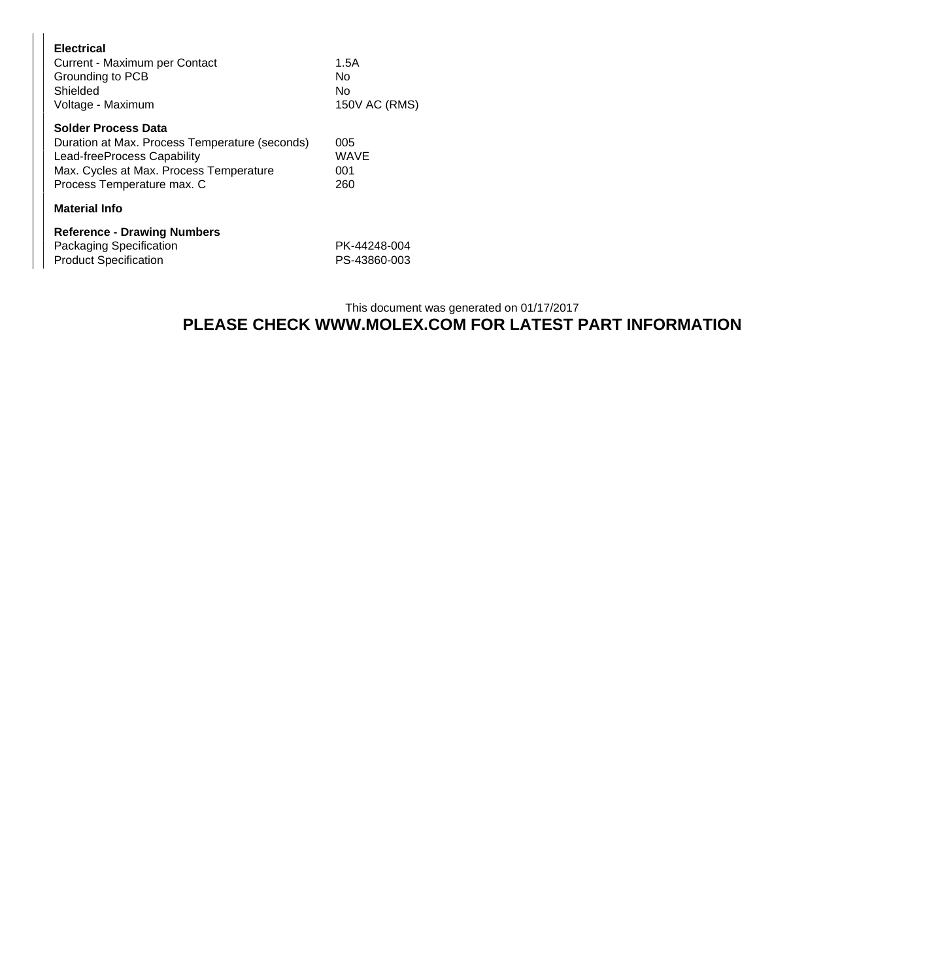| <b>Electrical</b><br>Current - Maximum per Contact<br>Grounding to PCB<br>Shielded<br>Voltage - Maximum                                                                       | 1.5A<br>N٥<br>N٥<br>150V AC (RMS) |
|-------------------------------------------------------------------------------------------------------------------------------------------------------------------------------|-----------------------------------|
| Solder Process Data<br>Duration at Max. Process Temperature (seconds)<br>Lead-freeProcess Capability<br>Max. Cycles at Max. Process Temperature<br>Process Temperature max. C | 005<br>WAVE<br>001<br>260         |
| <b>Material Info</b>                                                                                                                                                          |                                   |
| <b>Reference - Drawing Numbers</b><br>Packaging Specification<br><b>Product Specification</b>                                                                                 | PK-44248-004<br>PS-43860-003      |

## This document was generated on 01/17/2017 **PLEASE CHECK WWW.MOLEX.COM FOR LATEST PART INFORMATION**